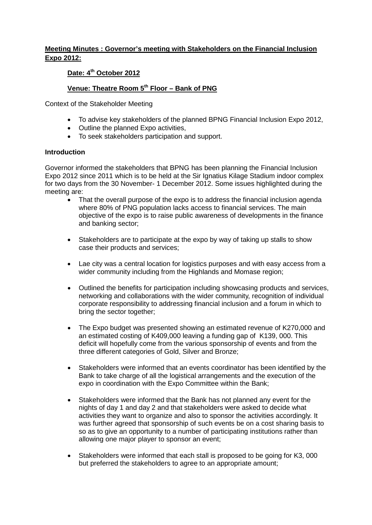## **Meeting Minutes : Governor's meeting with Stakeholders on the Financial Inclusion Expo 2012:**

# **Date: 4th October 2012**

### Venue: Theatre Room 5<sup>th</sup> Floor – Bank of PNG

Context of the Stakeholder Meeting

- To advise key stakeholders of the planned BPNG Financial Inclusion Expo 2012,
- Outline the planned Expo activities,
- To seek stakeholders participation and support.

#### **Introduction**

Governor informed the stakeholders that BPNG has been planning the Financial Inclusion Expo 2012 since 2011 which is to be held at the Sir Ignatius Kilage Stadium indoor complex for two days from the 30 November- 1 December 2012. Some issues highlighted during the meeting are:

- That the overall purpose of the expo is to address the financial inclusion agenda where 80% of PNG population lacks access to financial services. The main objective of the expo is to raise public awareness of developments in the finance and banking sector;
- Stakeholders are to participate at the expo by way of taking up stalls to show case their products and services;
- Lae city was a central location for logistics purposes and with easy access from a wider community including from the Highlands and Momase region;
- Outlined the benefits for participation including showcasing products and services, networking and collaborations with the wider community, recognition of individual corporate responsibility to addressing financial inclusion and a forum in which to bring the sector together;
- The Expo budget was presented showing an estimated revenue of K270,000 and an estimated costing of K409,000 leaving a funding gap of K139, 000. This deficit will hopefully come from the various sponsorship of events and from the three different categories of Gold, Silver and Bronze;
- Stakeholders were informed that an events coordinator has been identified by the Bank to take charge of all the logistical arrangements and the execution of the expo in coordination with the Expo Committee within the Bank;
- Stakeholders were informed that the Bank has not planned any event for the nights of day 1 and day 2 and that stakeholders were asked to decide what activities they want to organize and also to sponsor the activities accordingly. It was further agreed that sponsorship of such events be on a cost sharing basis to so as to give an opportunity to a number of participating institutions rather than allowing one major player to sponsor an event;
- Stakeholders were informed that each stall is proposed to be going for K3, 000 but preferred the stakeholders to agree to an appropriate amount;